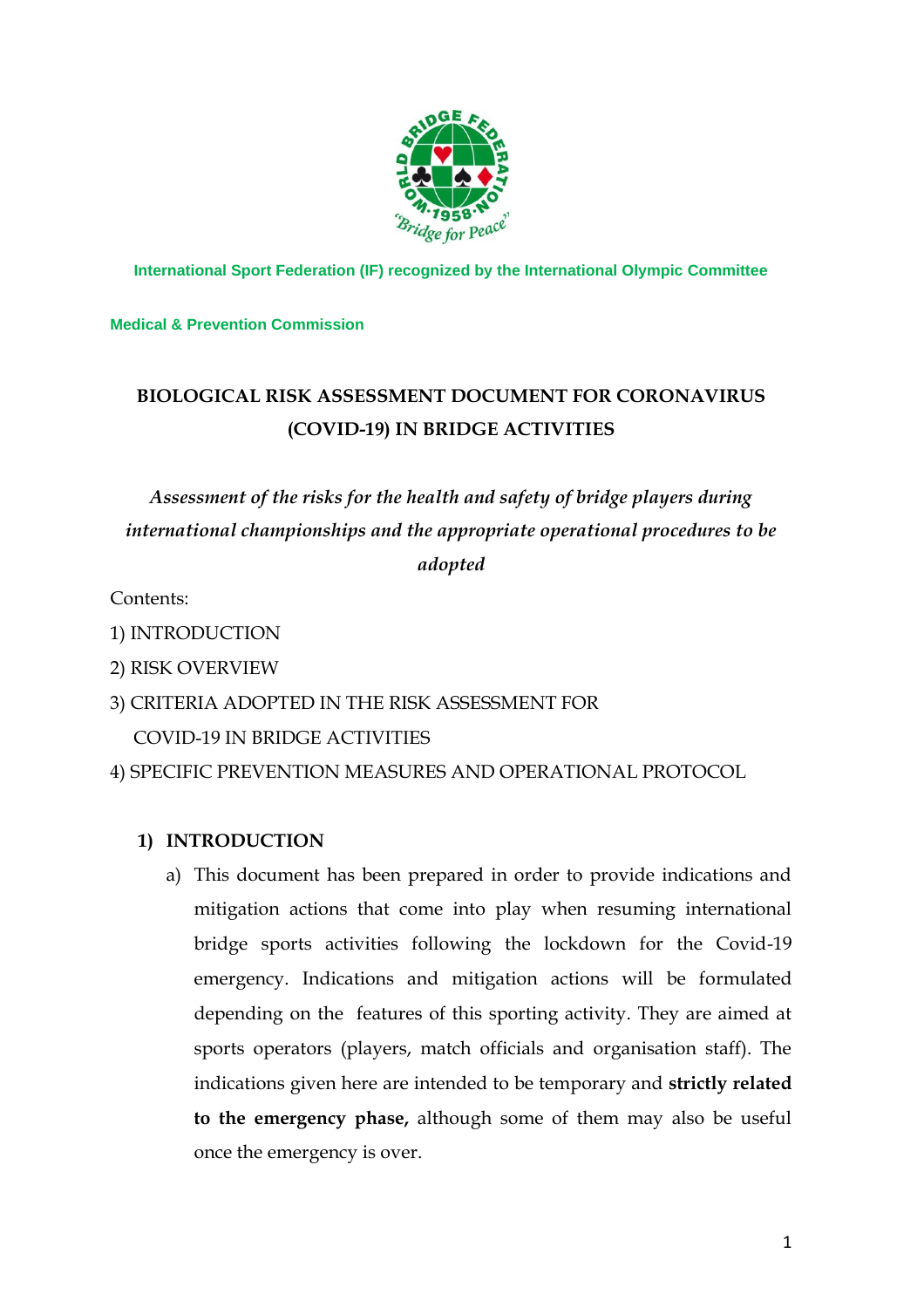

**International Sport Federation (IF) recognized by the International Olympic Committee**

### **Medical & Prevention Commission**

# **BIOLOGICAL RISK ASSESSMENT DOCUMENT FOR CORONAVIRUS (COVID-19) IN BRIDGE ACTIVITIES**

# *Assessment of the risks for the health and safety of bridge players during international championships and the appropriate operational procedures to be adopted*

Contents:

- 1) INTRODUCTION
- 2) RISK OVERVIEW
- 3) CRITERIA ADOPTED IN THE RISK ASSESSMENT FOR

COVID-19 IN BRIDGE ACTIVITIES

4) SPECIFIC PREVENTION MEASURES AND OPERATIONAL PROTOCOL

## **1) INTRODUCTION**

a) This document has been prepared in order to provide indications and mitigation actions that come into play when resuming international bridge sports activities following the lockdown for the Covid-19 emergency. Indications and mitigation actions will be formulated depending on the features of this sporting activity. They are aimed at sports operators (players, match officials and organisation staff). The indications given here are intended to be temporary and **strictly related to the emergency phase,** although some of them may also be useful once the emergency is over.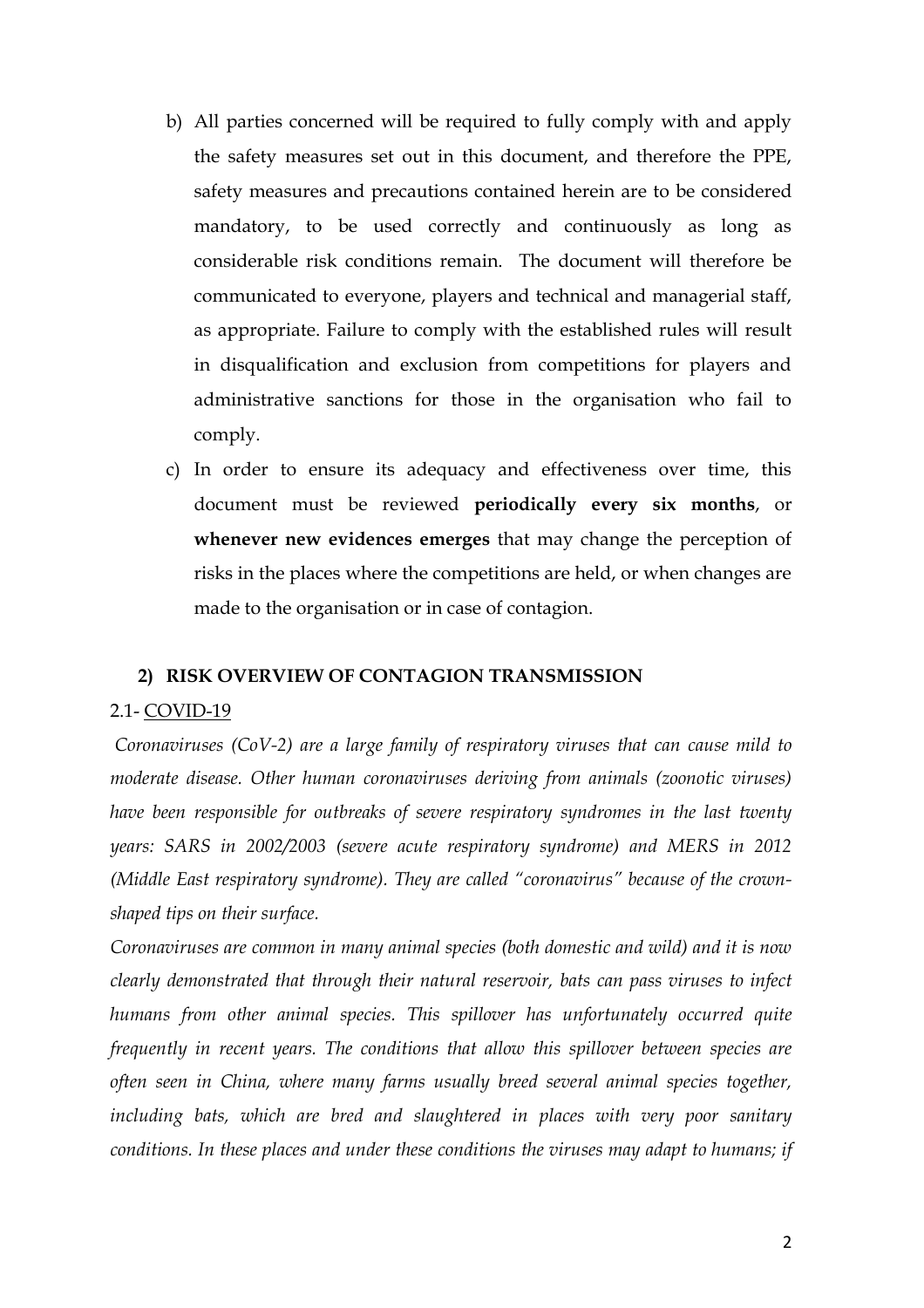- b) All parties concerned will be required to fully comply with and apply the safety measures set out in this document, and therefore the PPE, safety measures and precautions contained herein are to be considered mandatory, to be used correctly and continuously as long as considerable risk conditions remain. The document will therefore be communicated to everyone, players and technical and managerial staff, as appropriate. Failure to comply with the established rules will result in disqualification and exclusion from competitions for players and administrative sanctions for those in the organisation who fail to comply.
- c) In order to ensure its adequacy and effectiveness over time, this document must be reviewed **periodically every six months**, or **whenever new evidences emerges** that may change the perception of risks in the places where the competitions are held, or when changes are made to the organisation or in case of contagion.

### **2) RISK OVERVIEW OF CONTAGION TRANSMISSION**

### 2.1- COVID-19

*Coronaviruses (CoV-2) are a large family of respiratory viruses that can cause mild to moderate disease. Other human coronaviruses deriving from animals (zoonotic viruses) have been responsible for outbreaks of severe respiratory syndromes in the last twenty years: SARS in 2002/2003 (severe acute respiratory syndrome) and MERS in 2012 (Middle East respiratory syndrome). They are called "coronavirus" because of the crownshaped tips on their surface.*

*Coronaviruses are common in many animal species (both domestic and wild) and it is now clearly demonstrated that through their natural reservoir, bats can pass viruses to infect humans from other animal species. This spillover has unfortunately occurred quite frequently in recent years. The conditions that allow this spillover between species are often seen in China, where many farms usually breed several animal species together, including bats, which are bred and slaughtered in places with very poor sanitary conditions. In these places and under these conditions the viruses may adapt to humans; if*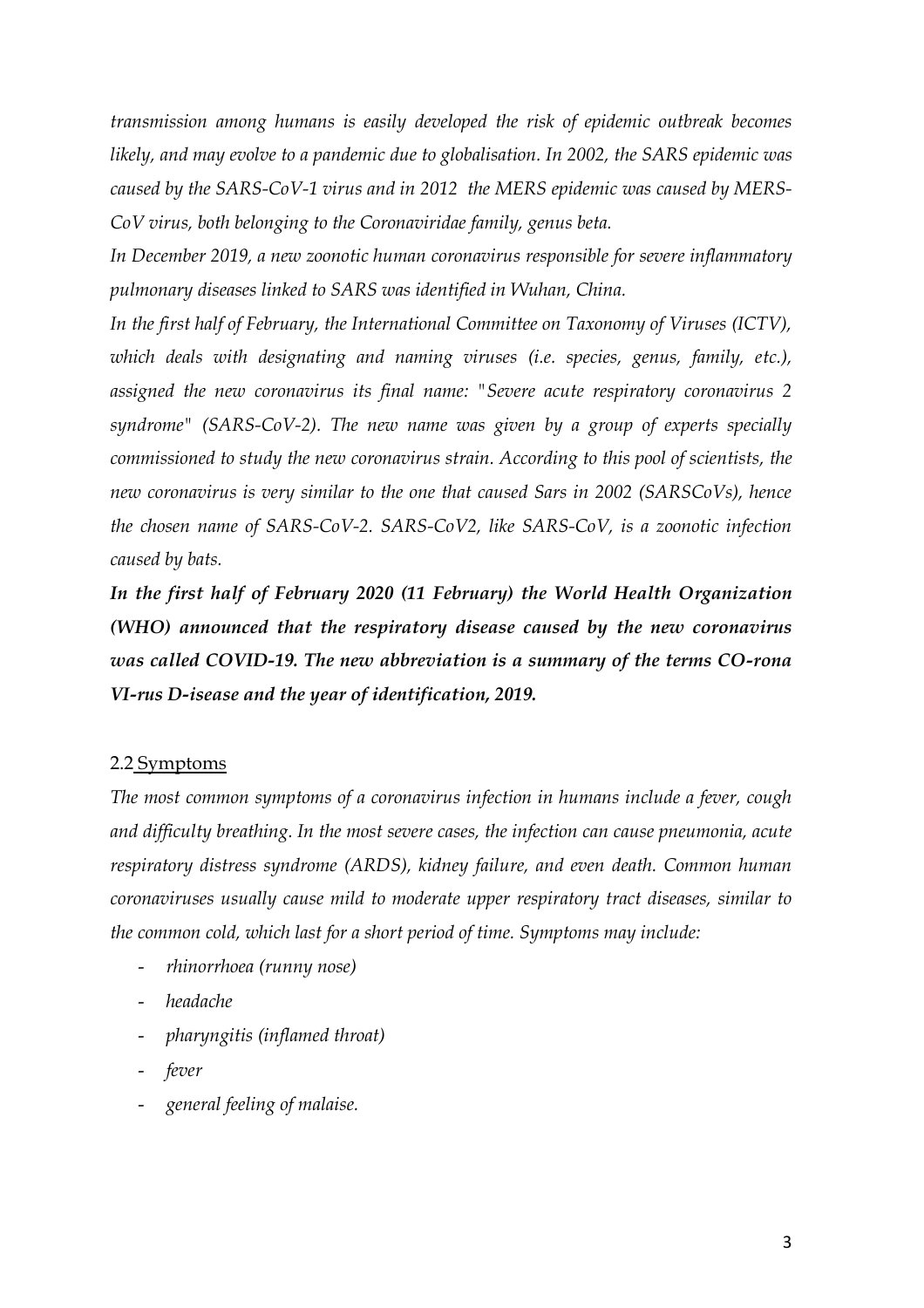*transmission among humans is easily developed the risk of epidemic outbreak becomes likely, and may evolve to a pandemic due to globalisation. In 2002, the SARS epidemic was caused by the SARS-CoV-1 virus and in 2012 the MERS epidemic was caused by MERS-CoV virus, both belonging to the Coronaviridae family, genus beta.*

*In December 2019, a new zoonotic human coronavirus responsible for severe inflammatory pulmonary diseases linked to SARS was identified in Wuhan, China.*

*In the first half of February, the International Committee on Taxonomy of Viruses (ICTV), which deals with designating and naming viruses (i.e. species, genus, family, etc.), assigned the new coronavirus its final name: "Severe acute respiratory coronavirus 2 syndrome" (SARS-CoV-2). The new name was given by a group of experts specially commissioned to study the new coronavirus strain. According to this pool of scientists, the new coronavirus is very similar to the one that caused Sars in 2002 (SARSCoVs), hence the chosen name of SARS-CoV-2. SARS-CoV2, like SARS-CoV, is a zoonotic infection caused by bats.*

*In the first half of February 2020 (11 February) the World Health Organization (WHO) announced that the respiratory disease caused by the new coronavirus was called COVID-19. The new abbreviation is a summary of the terms CO-rona VI-rus D-isease and the year of identification, 2019.*

### 2.2 Symptoms

*The most common symptoms of a coronavirus infection in humans include a fever, cough and difficulty breathing. In the most severe cases, the infection can cause pneumonia, acute respiratory distress syndrome (ARDS), kidney failure, and even death. Common human coronaviruses usually cause mild to moderate upper respiratory tract diseases, similar to the common cold, which last for a short period of time. Symptoms may include:*

- *rhinorrhoea (runny nose)*
- *headache*
- *pharyngitis (inflamed throat)*
- *fever*
- *general feeling of malaise.*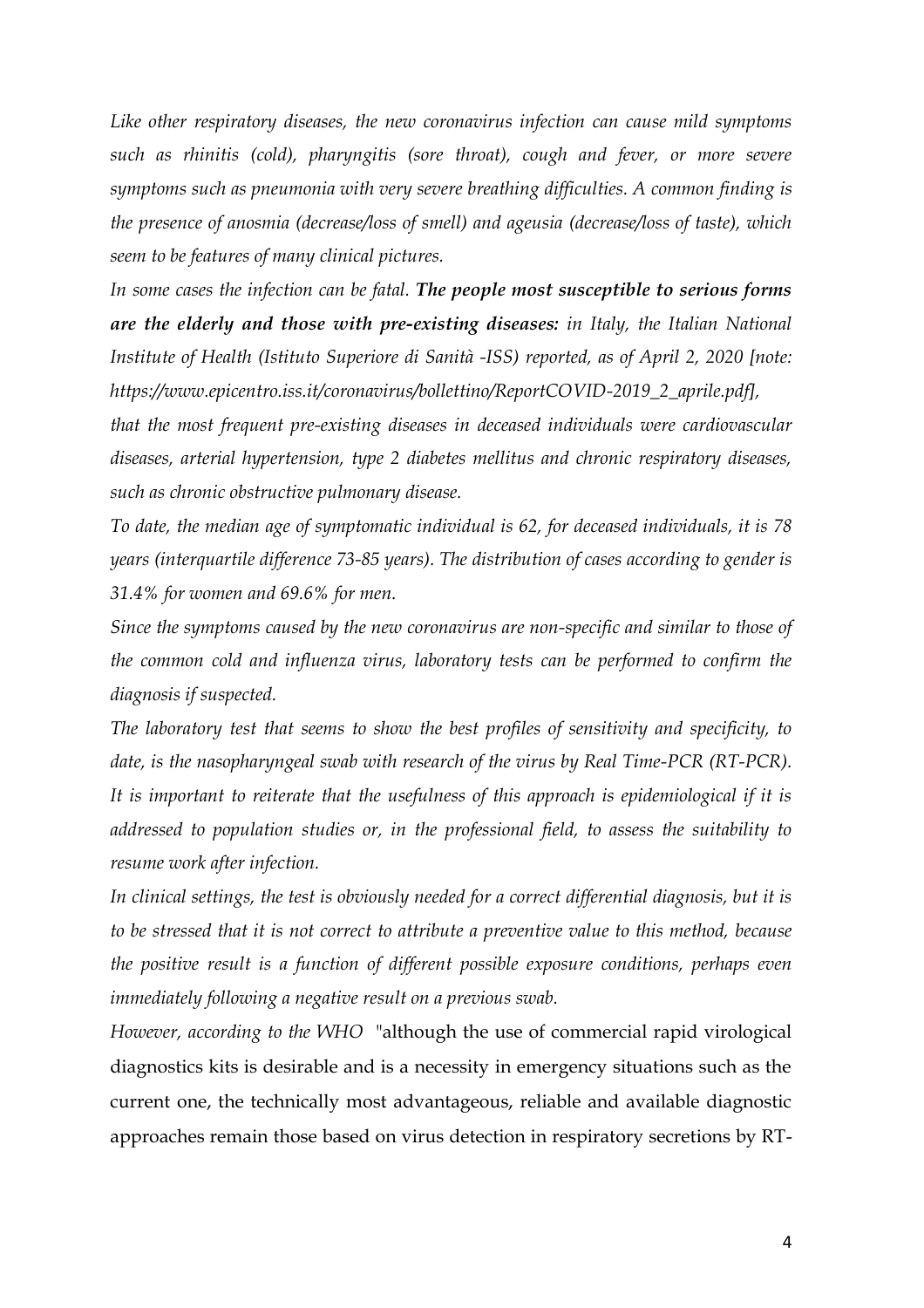*Like other respiratory diseases, the new coronavirus infection can cause mild symptoms such as rhinitis (cold), pharyngitis (sore throat), cough and fever, or more severe symptoms such as pneumonia with very severe breathing difficulties. A common finding is the presence of anosmia (decrease/loss of smell) and ageusia (decrease/loss of taste), which seem to be features of many clinical pictures.* 

*In some cases the infection can be fatal. The people most susceptible to serious forms are the elderly and those with pre-existing diseases: in Italy, the Italian National Institute of Health (Istituto Superiore di Sanità -ISS) reported, as of April 2, 2020 [note: https://www.epicentro.iss.it/coronavirus/bollettino/ReportCOVID-2019\_2\_aprile.pdf],* 

*that the most frequent pre-existing diseases in deceased individuals were cardiovascular diseases, arterial hypertension, type 2 diabetes mellitus and chronic respiratory diseases, such as chronic obstructive pulmonary disease.*

*To date, the median age of symptomatic individual is 62, for deceased individuals, it is 78 years (interquartile difference 73-85 years). The distribution of cases according to gender is 31.4% for women and 69.6% for men.*

*Since the symptoms caused by the new coronavirus are non-specific and similar to those of the common cold and influenza virus, laboratory tests can be performed to confirm the diagnosis if suspected.*

*The laboratory test that seems to show the best profiles of sensitivity and specificity, to date, is the nasopharyngeal swab with research of the virus by Real Time-PCR (RT-PCR). It is important to reiterate that the usefulness of this approach is epidemiological if it is addressed to population studies or, in the professional field, to assess the suitability to resume work after infection.*

*In clinical settings, the test is obviously needed for a correct differential diagnosis, but it is to be stressed that it is not correct to attribute a preventive value to this method, because the positive result is a function of different possible exposure conditions, perhaps even immediately following a negative result on a previous swab.*

*However, according to the WHO* "although the use of commercial rapid virological diagnostics kits is desirable and is a necessity in emergency situations such as the current one, the technically most advantageous, reliable and available diagnostic approaches remain those based on virus detection in respiratory secretions by RT-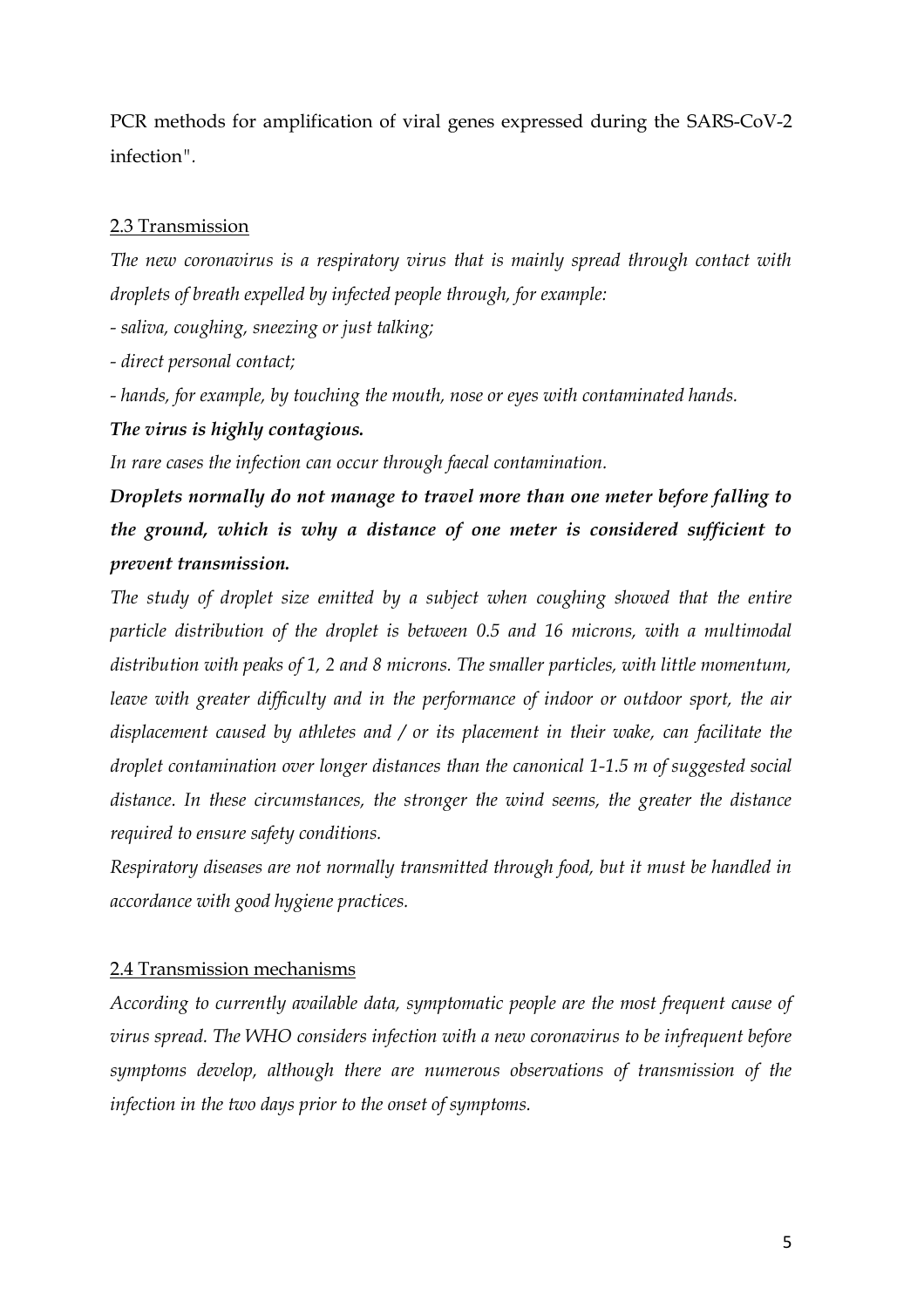PCR methods for amplification of viral genes expressed during the SARS-CoV-2 infection*".*

## 2.3 Transmission

*The new coronavirus is a respiratory virus that is mainly spread through contact with droplets of breath expelled by infected people through, for example:*

*- saliva, coughing, sneezing or just talking;*

*- direct personal contact;*

*- hands, for example, by touching the mouth, nose or eyes with contaminated hands.*

## *The virus is highly contagious.*

*In rare cases the infection can occur through faecal contamination.*

*Droplets normally do not manage to travel more than one meter before falling to the ground, which is why a distance of one meter is considered sufficient to prevent transmission.*

*The study of droplet size emitted by a subject when coughing showed that the entire particle distribution of the droplet is between 0.5 and 16 microns, with a multimodal distribution with peaks of 1, 2 and 8 microns. The smaller particles, with little momentum, leave with greater difficulty and in the performance of indoor or outdoor sport, the air displacement caused by athletes and / or its placement in their wake, can facilitate the droplet contamination over longer distances than the canonical 1-1.5 m of suggested social distance. In these circumstances, the stronger the wind seems, the greater the distance required to ensure safety conditions.*

*Respiratory diseases are not normally transmitted through food, but it must be handled in accordance with good hygiene practices.*

## 2.4 Transmission mechanisms

*According to currently available data, symptomatic people are the most frequent cause of virus spread. The WHO considers infection with a new coronavirus to be infrequent before symptoms develop, although there are numerous observations of transmission of the infection in the two days prior to the onset of symptoms.*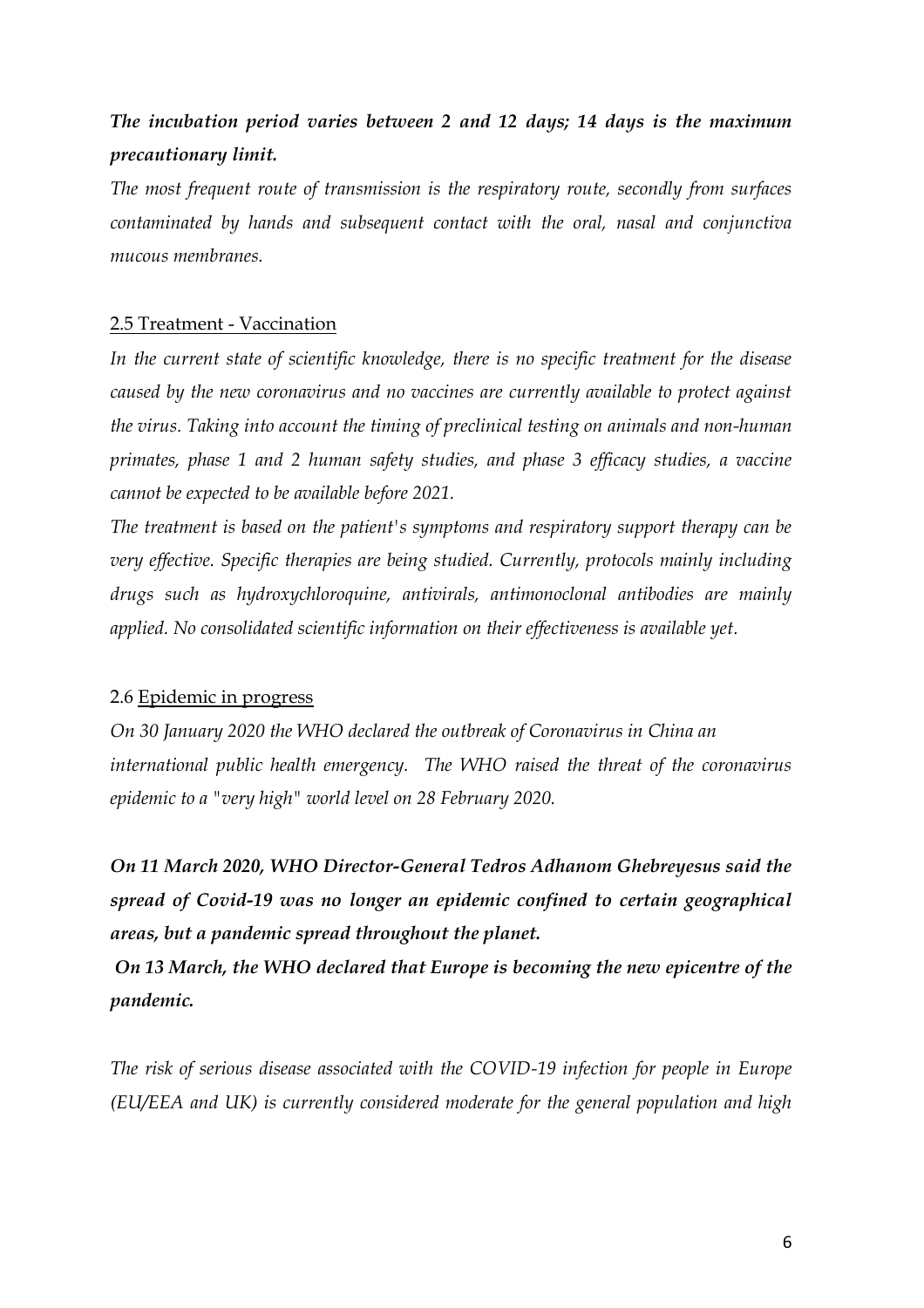## *The incubation period varies between 2 and 12 days; 14 days is the maximum precautionary limit.*

*The most frequent route of transmission is the respiratory route, secondly from surfaces contaminated by hands and subsequent contact with the oral, nasal and conjunctiva mucous membranes.*

### 2.5 Treatment - Vaccination

*In the current state of scientific knowledge, there is no specific treatment for the disease caused by the new coronavirus and no vaccines are currently available to protect against the virus. Taking into account the timing of preclinical testing on animals and non-human primates, phase 1 and 2 human safety studies, and phase 3 efficacy studies, a vaccine cannot be expected to be available before 2021.*

*The treatment is based on the patient's symptoms and respiratory support therapy can be very effective. Specific therapies are being studied. Currently, protocols mainly including drugs such as hydroxychloroquine, antivirals, antimonoclonal antibodies are mainly applied. No consolidated scientific information on their effectiveness is available yet.*

### 2.6 Epidemic in progress

*On 30 January 2020 the WHO declared the outbreak of Coronavirus in China an international public health emergency. The WHO raised the threat of the coronavirus epidemic to a "very high" world level on 28 February 2020.*

*On 11 March 2020, WHO Director-General Tedros Adhanom Ghebreyesus said the spread of Covid-19 was no longer an epidemic confined to certain geographical areas, but a pandemic spread throughout the planet.*

*On 13 March, the WHO declared that Europe is becoming the new epicentre of the pandemic.*

*The risk of serious disease associated with the COVID-19 infection for people in Europe (EU/EEA and UK) is currently considered moderate for the general population and high*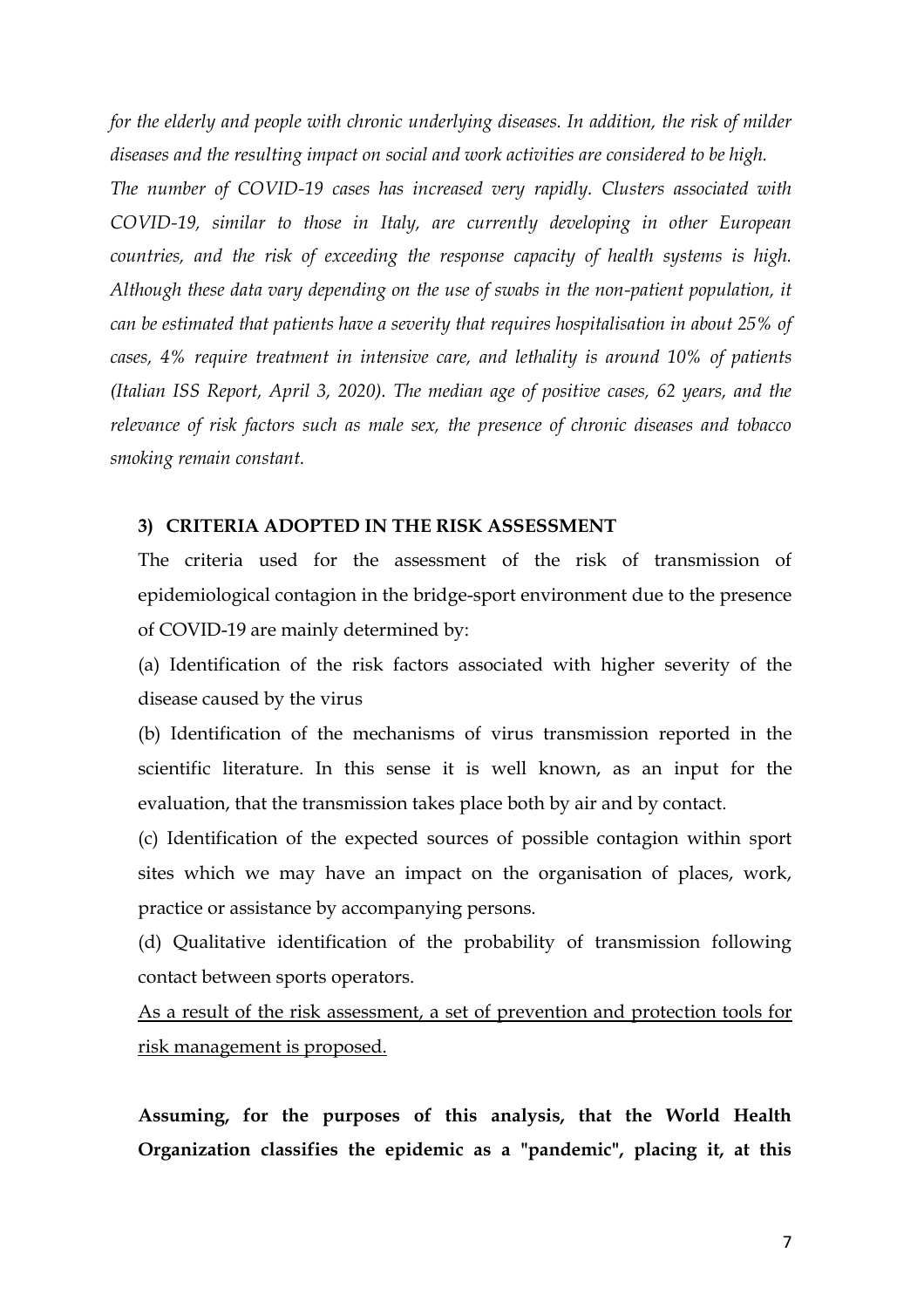*for the elderly and people with chronic underlying diseases. In addition, the risk of milder diseases and the resulting impact on social and work activities are considered to be high.*

*The number of COVID-19 cases has increased very rapidly. Clusters associated with COVID-19, similar to those in Italy, are currently developing in other European countries, and the risk of exceeding the response capacity of health systems is high. Although these data vary depending on the use of swabs in the non-patient population, it can be estimated that patients have a severity that requires hospitalisation in about 25% of cases, 4% require treatment in intensive care, and lethality is around 10% of patients (Italian ISS Report, April 3, 2020). The median age of positive cases, 62 years, and the relevance of risk factors such as male sex, the presence of chronic diseases and tobacco smoking remain constant.*

#### **3) CRITERIA ADOPTED IN THE RISK ASSESSMENT**

The criteria used for the assessment of the risk of transmission of epidemiological contagion in the bridge-sport environment due to the presence of COVID-19 are mainly determined by:

(a) Identification of the risk factors associated with higher severity of the disease caused by the virus

(b) Identification of the mechanisms of virus transmission reported in the scientific literature. In this sense it is well known, as an input for the evaluation, that the transmission takes place both by air and by contact.

(c) Identification of the expected sources of possible contagion within sport sites which we may have an impact on the organisation of places, work, practice or assistance by accompanying persons.

(d) Qualitative identification of the probability of transmission following contact between sports operators.

As a result of the risk assessment, a set of prevention and protection tools for risk management is proposed.

**Assuming, for the purposes of this analysis, that the World Health Organization classifies the epidemic as a "pandemic", placing it, at this**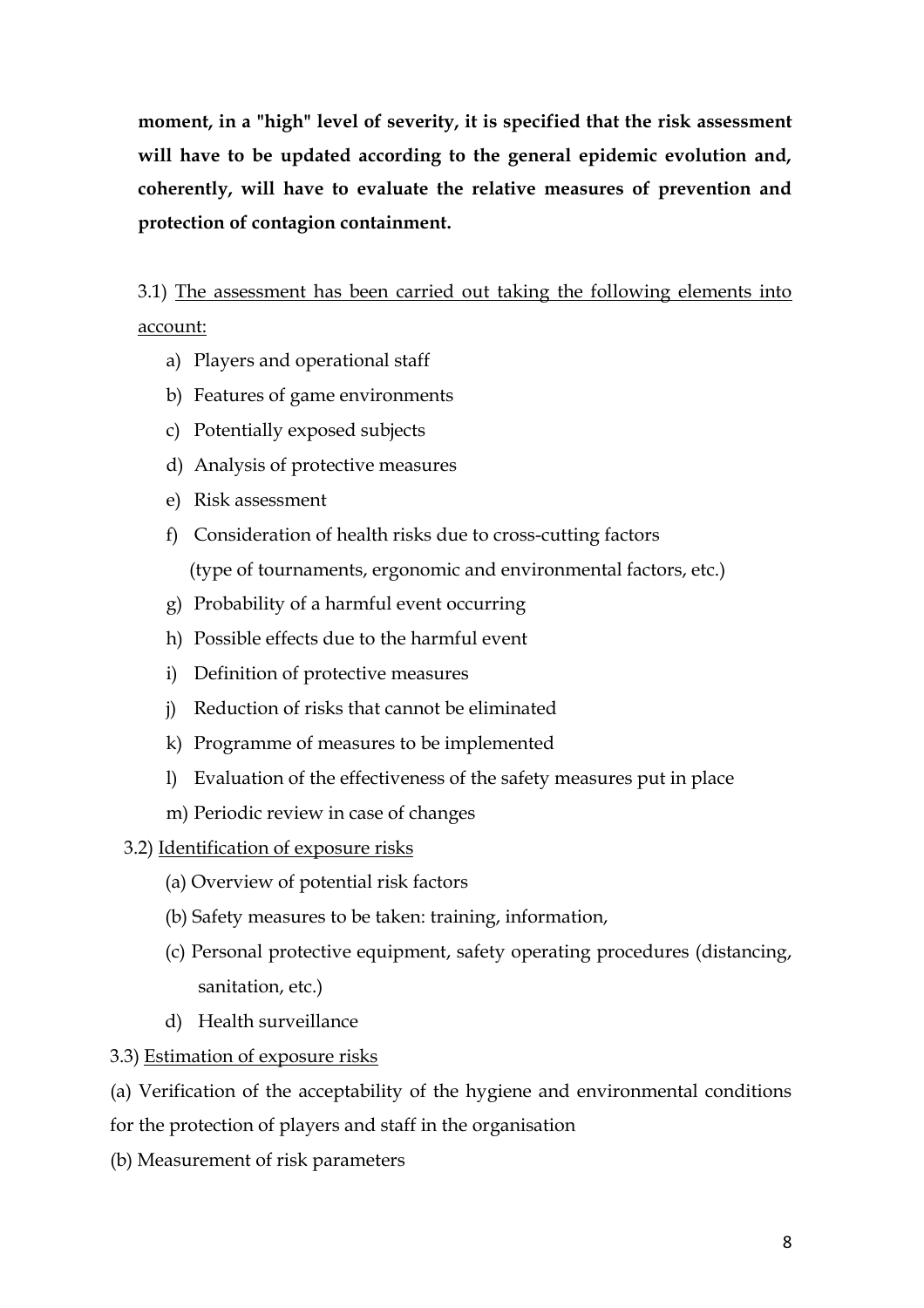**moment, in a "high" level of severity, it is specified that the risk assessment will have to be updated according to the general epidemic evolution and, coherently, will have to evaluate the relative measures of prevention and protection of contagion containment.**

3.1) The assessment has been carried out taking the following elements into account:

- a) Players and operational staff
- b) Features of game environments
- c) Potentially exposed subjects
- d) Analysis of protective measures
- e) Risk assessment
- f) Consideration of health risks due to cross-cutting factors (type of tournaments, ergonomic and environmental factors, etc.)
- g) Probability of a harmful event occurring
- h) Possible effects due to the harmful event
- i) Definition of protective measures
- j) Reduction of risks that cannot be eliminated
- k) Programme of measures to be implemented
- l) Evaluation of the effectiveness of the safety measures put in place
- m) Periodic review in case of changes
- 3.2) Identification of exposure risks
	- (a) Overview of potential risk factors
	- (b) Safety measures to be taken: training, information,
	- (c) Personal protective equipment, safety operating procedures (distancing, sanitation, etc.)
	- d) Health surveillance

## 3.3) Estimation of exposure risks

(a) Verification of the acceptability of the hygiene and environmental conditions for the protection of players and staff in the organisation

(b) Measurement of risk parameters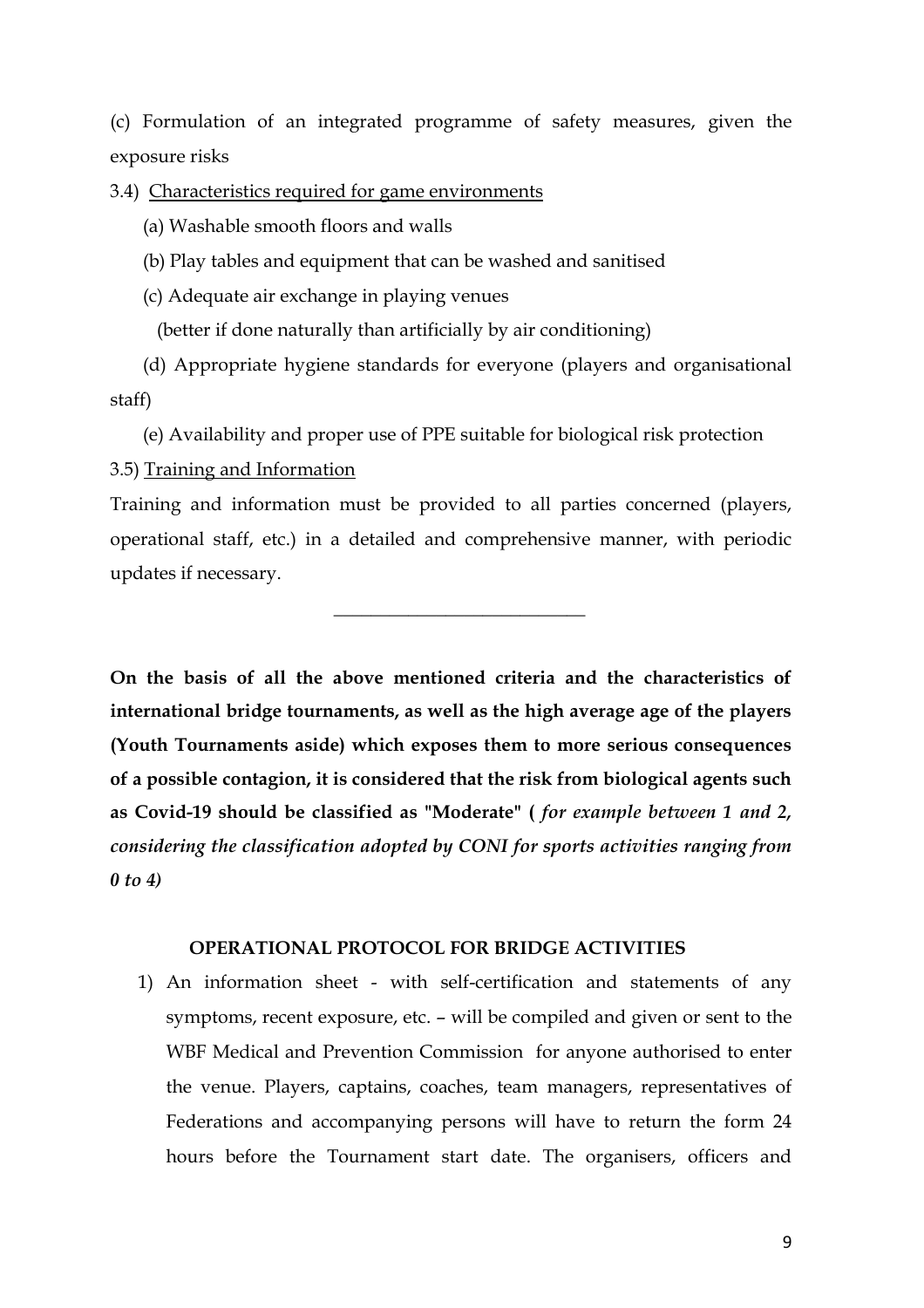(c) Formulation of an integrated programme of safety measures, given the exposure risks

3.4) Characteristics required for game environments

(a) Washable smooth floors and walls

(b) Play tables and equipment that can be washed and sanitised

(c) Adequate air exchange in playing venues

 $\mathcal{L}_\text{max}$  and  $\mathcal{L}_\text{max}$  and  $\mathcal{L}_\text{max}$  and  $\mathcal{L}_\text{max}$  and  $\mathcal{L}_\text{max}$ 

(better if done naturally than artificially by air conditioning)

 (d) Appropriate hygiene standards for everyone (players and organisational staff)

 (e) Availability and proper use of PPE suitable for biological risk protection 3.5) Training and Information

Training and information must be provided to all parties concerned (players, operational staff, etc.) in a detailed and comprehensive manner, with periodic updates if necessary.

**On the basis of all the above mentioned criteria and the characteristics of international bridge tournaments, as well as the high average age of the players (Youth Tournaments aside) which exposes them to more serious consequences of a possible contagion, it is considered that the risk from biological agents such as Covid-19 should be classified as "Moderate" (** *for example between 1 and 2, considering the classification adopted by CONI for sports activities ranging from 0 to 4)*

## **OPERATIONAL PROTOCOL FOR BRIDGE ACTIVITIES**

1) An information sheet - with self-certification and statements of any symptoms, recent exposure, etc. – will be compiled and given or sent to the WBF Medical and Prevention Commission for anyone authorised to enter the venue. Players, captains, coaches, team managers, representatives of Federations and accompanying persons will have to return the form 24 hours before the Tournament start date. The organisers, officers and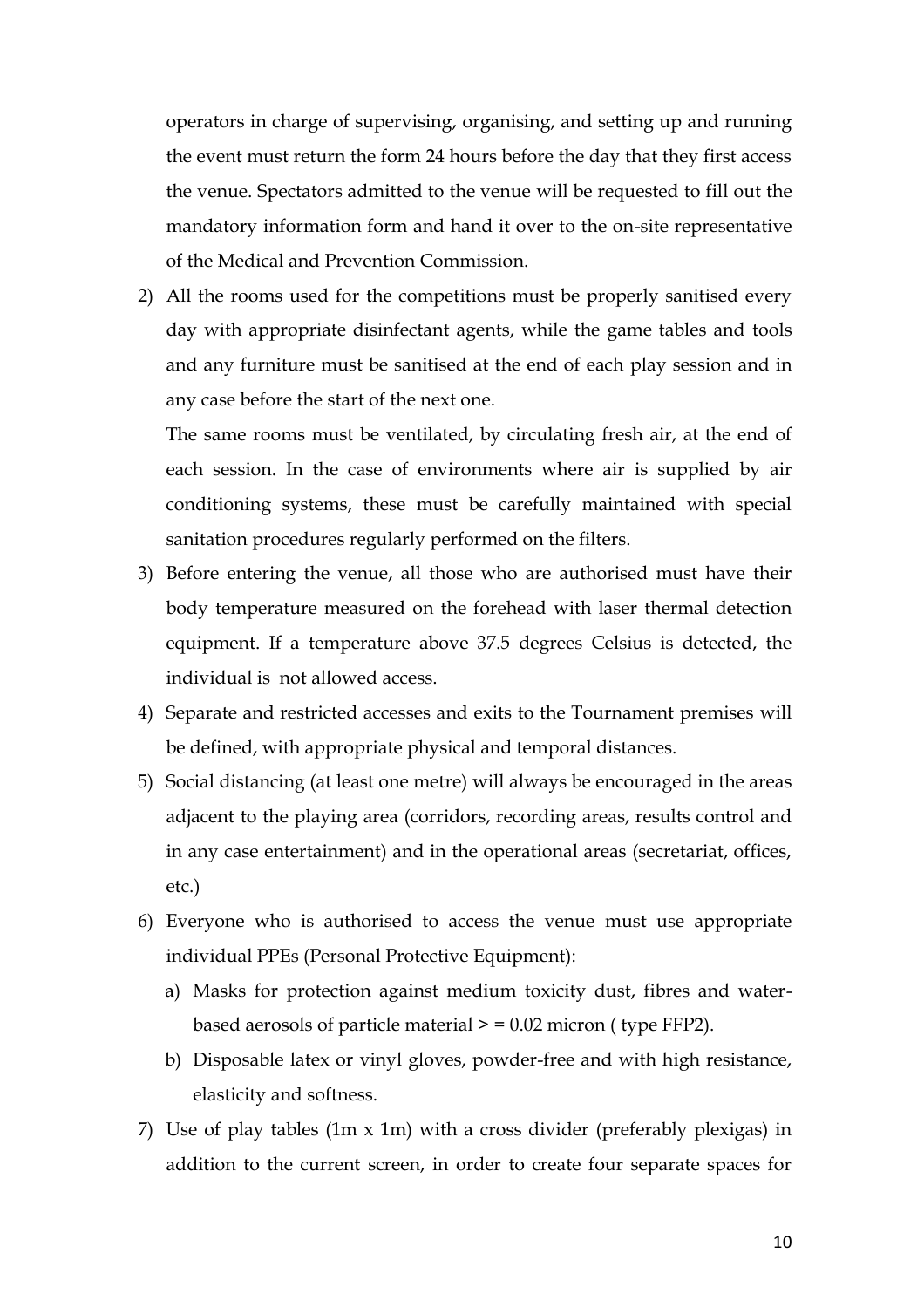operators in charge of supervising, organising, and setting up and running the event must return the form 24 hours before the day that they first access the venue. Spectators admitted to the venue will be requested to fill out the mandatory information form and hand it over to the on-site representative of the Medical and Prevention Commission.

2) All the rooms used for the competitions must be properly sanitised every day with appropriate disinfectant agents, while the game tables and tools and any furniture must be sanitised at the end of each play session and in any case before the start of the next one.

The same rooms must be ventilated, by circulating fresh air, at the end of each session. In the case of environments where air is supplied by air conditioning systems, these must be carefully maintained with special sanitation procedures regularly performed on the filters.

- 3) Before entering the venue, all those who are authorised must have their body temperature measured on the forehead with laser thermal detection equipment. If a temperature above 37.5 degrees Celsius is detected, the individual is not allowed access.
- 4) Separate and restricted accesses and exits to the Tournament premises will be defined, with appropriate physical and temporal distances.
- 5) Social distancing (at least one metre) will always be encouraged in the areas adjacent to the playing area (corridors, recording areas, results control and in any case entertainment) and in the operational areas (secretariat, offices, etc.)
- 6) Everyone who is authorised to access the venue must use appropriate individual PPEs (Personal Protective Equipment):
	- a) Masks for protection against medium toxicity dust, fibres and waterbased aerosols of particle material  $> = 0.02$  micron (type FFP2).
	- b) Disposable latex or vinyl gloves, powder-free and with high resistance, elasticity and softness.
- 7) Use of play tables (1m x 1m) with a cross divider (preferably plexigas) in addition to the current screen, in order to create four separate spaces for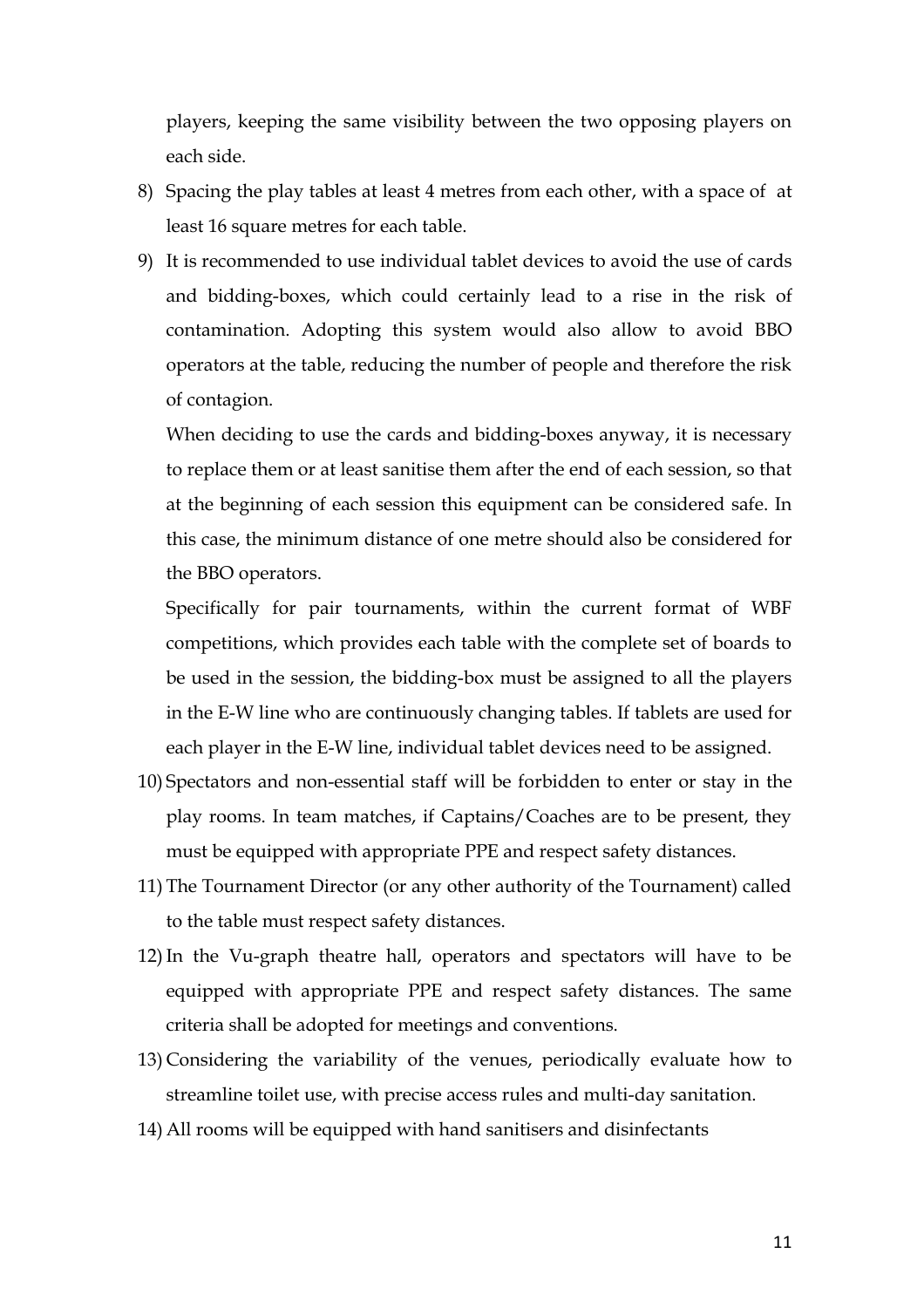players, keeping the same visibility between the two opposing players on each side.

- 8) Spacing the play tables at least 4 metres from each other, with a space of at least 16 square metres for each table.
- 9) It is recommended to use individual tablet devices to avoid the use of cards and bidding-boxes, which could certainly lead to a rise in the risk of contamination. Adopting this system would also allow to avoid BBO operators at the table, reducing the number of people and therefore the risk of contagion.

When deciding to use the cards and bidding-boxes anyway, it is necessary to replace them or at least sanitise them after the end of each session, so that at the beginning of each session this equipment can be considered safe. In this case, the minimum distance of one metre should also be considered for the BBO operators.

Specifically for pair tournaments, within the current format of WBF competitions, which provides each table with the complete set of boards to be used in the session, the bidding-box must be assigned to all the players in the E-W line who are continuously changing tables. If tablets are used for each player in the E-W line, individual tablet devices need to be assigned.

- 10) Spectators and non-essential staff will be forbidden to enter or stay in the play rooms. In team matches, if Captains/Coaches are to be present, they must be equipped with appropriate PPE and respect safety distances.
- 11) The Tournament Director (or any other authority of the Tournament) called to the table must respect safety distances.
- 12)In the Vu-graph theatre hall, operators and spectators will have to be equipped with appropriate PPE and respect safety distances. The same criteria shall be adopted for meetings and conventions.
- 13) Considering the variability of the venues, periodically evaluate how to streamline toilet use, with precise access rules and multi-day sanitation.
- 14) All rooms will be equipped with hand sanitisers and disinfectants